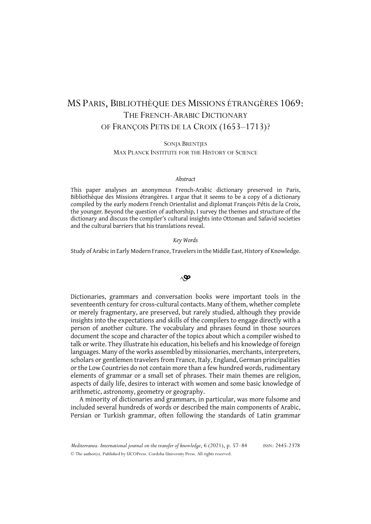# MS PARIS, BIBLIOTHÈQUE DES MISSIONS ÉTRANGÈRES 1069: THE FRENCH-ARABIC DICTIONARY OF FRANÇOIS PETIS DE LA CROIX (1653–1713)?

SONJA BRENTJES MAX PLANCK INSTITUTE FOR THE HISTORY OF SCIENCE

#### *Abstract*

This paper analyses an anonymous French-Arabic dictionary preserved in Paris, Bibliothèque des Missions étrangères. I argue that it seems to be a copy of a dictionary compiled by the early modern French Orientalist and diplomat François Pétis de la Croix, the younger. Beyond the question of authorship, I survey the themes and structure of the dictionary and discuss the compiler's cultural insights into Ottoman and Safavid societies and the cultural barriers that his translations reveal.

#### *Key Words*

Study of Arabic in Early Modern France, Travelers in the Middle East, History of Knowledge.

## $\triangle \mathbf{\mathcal{P}}$

Dictionaries, grammars and conversation books were important tools in the seventeenth century for cross-cultural contacts. Many of them, whether complete or merely fragmentary, are preserved, but rarely studied, although they provide insights into the expectations and skills of the compilers to engage directly with a person of another culture. The vocabulary and phrases found in those sources document the scope and character of the topics about which a compiler wished to talk or write. They illustrate his education, his beliefs and his knowledge of foreign languages. Many of the works assembled by missionaries, merchants, interpreters, scholars or gentlemen travelers from France, Italy, England, German principalities or the Low Countries do not contain more than a few hundred words, rudimentary elements of grammar or a small set of phrases. Their main themes are religion, aspects of daily life, desires to interact with women and some basic knowledge of arithmetic, astronomy, geometry or geography.

A minority of dictionaries and grammars, in particular, was more fulsome and included several hundreds of words or described the main components of Arabic, Persian or Turkish grammar, often following the standards of Latin grammar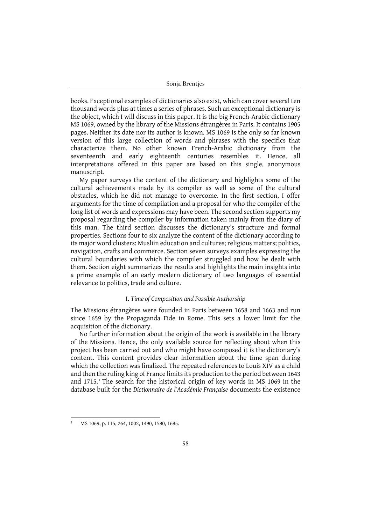books. Exceptional examples of dictionaries also exist, which can cover several ten thousand words plus at times a series of phrases. Such an exceptional dictionary is the object, which I will discuss in this paper. It is the big French-Arabic dictionary MS 1069, owned by the library of the Missions étrangères in Paris. It contains 1905 pages. Neither its date nor its author is known. MS 1069 is the only so far known version of this large collection of words and phrases with the specifics that characterize them. No other known French-Arabic dictionary from the seventeenth and early eighteenth centuries resembles it. Hence, all interpretations offered in this paper are based on this single, anonymous manuscript.

My paper surveys the content of the dictionary and highlights some of the cultural achievements made by its compiler as well as some of the cultural obstacles, which he did not manage to overcome. In the first section, I offer arguments for the time of compilation and a proposal for who the compiler of the long list of words and expressions may have been. The second section supports my proposal regarding the compiler by information taken mainly from the diary of this man. The third section discusses the dictionary's structure and formal properties. Sections four to six analyze the content of the dictionary according to its major word clusters: Muslim education and cultures; religious matters; politics, navigation, crafts and commerce. Section seven surveys examples expressing the cultural boundaries with which the compiler struggled and how he dealt with them. Section eight summarizes the results and highlights the main insights into a prime example of an early modern dictionary of two languages of essential relevance to politics, trade and culture.

## I. *Time of Composition and Possible Authorship*

The Missions étrangères were founded in Paris between 1658 and 1663 and run since 1659 by the Propaganda Fide in Rome. This sets a lower limit for the acquisition of the dictionary.

No further information about the origin of the work is available in the library of the Missions. Hence, the only available source for reflecting about when this project has been carried out and who might have composed it is the dictionary's content. This content provides clear information about the time span during which the collection was finalized. The repeated references to Louis XIV as a child and then the ruling king of France limits its production to the period between 1643 and  $1715<sup>1</sup>$ . The search for the historical origin of key words in MS 1069 in the database built for the *Dictionnaire de l'Académie Française* documents the existence

<sup>1</sup> MS 1069, p. 115, 264, 1002, 1490, 1580, 1685.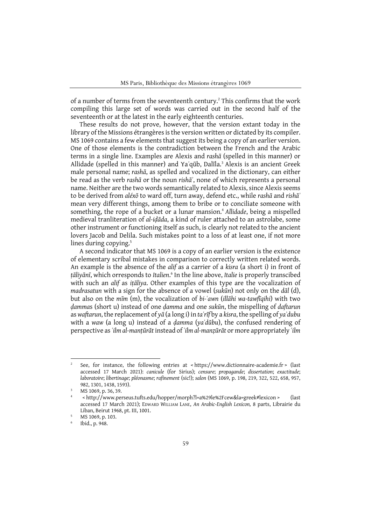of a number of terms from the seventeenth century.<sup>2</sup> This confirms that the work compiling this large set of words was carried out in the second half of the seventeenth or at the latest in the early eighteenth centuries.

These results do not prove, however, that the version extant today in the library of the Missions étrangères is the version written or dictated by its compiler. MS 1069 contains a few elements that suggest its being a copy of an earlier version. One of those elements is the contradiction between the French and the Arabic terms in a single line. Examples are Alexis and *rashā* (spelled in this manner) or Allidade (spelled in this manner) and Ya*ʿ*qūb, Dalīla.3 Alexis is an ancient Greek male personal name; *rashā*, as spelled and vocalized in the dictionary, can either be read as the verb *rashā* or the noun *rishāʾ*, none of which represents a personal name. Neither are the two words semantically related to Alexis, since Alexis seems to be derived from *aléxō* to ward off, turn away, defend etc., while *rashā* and *rishāʾ* mean very different things, among them to bribe or to conciliate someone with something, the rope of a bucket or a lunar mansion.<sup>4</sup> Allidade, being a mispelled medieval tranliteration of *al-iḍāda*, a kind of ruler attached to an astrolabe, some other instrument or functioning itself as such, is clearly not related to the ancient lovers Jacob and Delila. Such mistakes point to a loss of at least one, if not more lines during copying.<sup>5</sup>

A second indicator that MS 1069 is a copy of an earlier version is the existence of elementary scribal mistakes in comparison to correctly written related words. An example is the absence of the *alif* as a carrier of a *kisra* (a short i) in front of *ṭāliyānī*, which orresponds to *Italien*. <sup>6</sup> In the line above, *Italie* is properly transcibed with such an *alif* as *iṭāliya*. Other examples of this type are the vocalization of *madrasatun* with a sign for the absence of a vowel (*sukūn*) not only on the *dāl* (d), but also on the *mīm* (m), the vocalization of *bi-ʿawn* (*illāhi wa-tawfīqihi*) with two *ḍamma*s (short u) instead of one *ḍamma* and one *sukūn*, the mispelling of *daftarun* as *waftarun*, the replacement of *yā* (a long i) in *taʿrīf* by a *kisra*, the spelling of *yaʾdubu* with a *waw* (a long u) instead of a *ḍamma* (*yaʾdūbu*), the confused rendering of perspective as *ʿilm al-manṭūrāt* instead of *ʿilm al-manẓūrāt* or more appropriately *ʿilm* 

<sup>&</sup>lt;sup>2</sup> See, for instance, the following entries at  $\lt$ https://www.dictionnaire-academie.fr  $\gt$  (last accessed 17 March 2021): *canicule* (for Sirius); *censure*; *propagande*; *dissertation*; *exactitude*; *laboratoire*; *libertinage*; *pléonasme*; *rafinement* (sic!); *salon* (MS 1069, p. 198, 219, 322, 522, 658, 957, 982, 1301, 1438, 1593).<br>MS 1069, p. 36, 39.

<sup>4</sup> < http://www.perseus.tufts.edu/hopper/morph?l=a%29le%2Fcew&la=greek#lexicon > (last accessed 17 March 2021); EDWARD WILLIAM LANE, *An Arabic-English Lexicon,* 8 parts, Librairie du Liban, Beirut 1968, pt. III, 1001.<br>MS 1069, p. 103.

<sup>6</sup> Ibid., p. 948.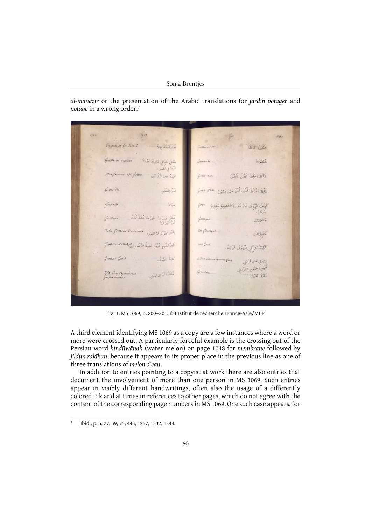*al-manāẓir* or the presentation of the Arabic translations for *jardin potager* and *potage* in a wrong order.7

 $1010$  $4n$  $801$ Engros el En Dolail أملتا أتقصلا خَذْنَ عَلَيْلَ هُبْلَى هَبَالِي هَامِلَةً هَبْلُةً  $521$ أمراة في تقسين الأمة بعن التفسين SE SE SE SE *Gresville* نَنْنُ الثَّعَلَب Grossesse  $\frac{1}{2}\int_{-\infty}^{\infty}$ كَهَدَّلُ كَيْتَرُّدُّ عَادُّ مَغَارَةُ مُخْلِيبَ مُغَارِ  $2.64$ .<br>مَعْلَمُ جَسَائِيَّةَ حَيَامَةً فَلَظَّ أَنْتُ مُطْعَدُ Jola Grosseur D'une moin Jul 5 2 200 ١ .<br>بَلِيرُ اللَّذِ تُرَبِّدَ غَلِيظُ الرَّضُنِ وَعَلَامُ اللهَ مَنْ كَرْكِيَةً كَرَاكِي عُرْبُوَى عَرَانِيقُ Grossier Grais Lis si يَنْوَفَقِي كَمْنِي أَرَائِقِي مجعين عجوم القرآء Ma Cuyropendiren خفشات يي المنفك 350 365

Fig. 1. MS 1069, p. 800–801. © Institut de recherche France-Asie/MEP

A third element identifying MS 1069 as a copy are a few instances where a word or more were crossed out. A particularly forceful example is the crossing out of the Persian word *hindūwānah* (water melon) on page 1048 for *membrane* followed by *jildun rakīkun*, because it appears in its proper place in the previous line as one of three translations of *melon d'eau*.

In addition to entries pointing to a copyist at work there are also entries that document the involvement of more than one person in MS 1069. Such entries appear in visibly different handwritings, often also the usage of a differently colored ink and at times in references to other pages, which do not agree with the content of the corresponding page numbers in MS 1069. One such case appears, for

<sup>7</sup> Ibid., p. 5, 27, 59, 75, 443, 1257, 1332, 1344.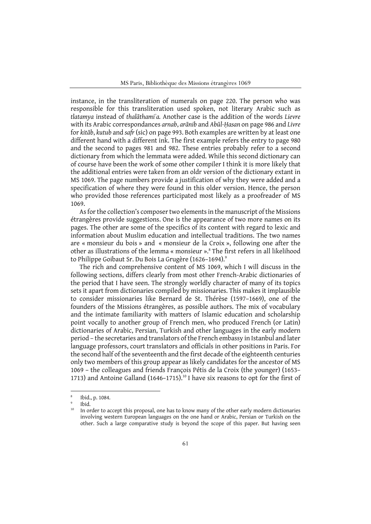MS Paris, Bibliothèque des Missions étrangères 1069

instance, in the transliteration of numerals on page 220. The person who was responsible for this transliteration used spoken, not literary Arabic such as *tlatamya* instead of *thalāthamiʾa.* Another case is the addition of the words *Lievre* with its Arabic correspondances *arnab*, *arānib* and *Abūl-Ḥasan* on page 986 and *Livre* for *kitāb*, *kutub* and *safr* (sic) on page 993. Both examples are written by at least one different hand with a different ink. The first example refers the entry to page 980 and the second to pages 981 and 982. These entries probably refer to a second dictionary from which the lemmata were added. While this second dictionary can of course have been the work of some other compiler I think it is more likely that the additional entries were taken from an oldr version of the dictionary extant in MS 1069. The page numbers provide a justification of why they were added and a specification of where they were found in this older version. Hence, the person who provided those references participated most likely as a proofreader of MS 1069.

As for the collection's composer two elements in the manuscript of the Missions étrangères provide suggestions. One is the appearance of two more names on its pages. The other are some of the specifics of its content with regard to lexic and information about Muslim education and intellectual traditions. The two names are « monsieur du bois » and « monsieur de la Croix », following one after the other as illustrations of the lemma « monsieur ». <sup>8</sup> The first refers in all likelihood to Philippe Goibaut Sr. Du Bois La Grugère (1626–1694).<sup>9</sup>

The rich and comprehensive content of MS 1069, which I will discuss in the following sections, differs clearly from most other French-Arabic dictionaries of the period that I have seen. The strongly worldly character of many of its topics sets it apart from dictionaries compiled by missionaries. This makes it implausible to consider missionaries like Bernard de St. Thérèse (1597–1669), one of the founders of the Missions étrangères, as possible authors. The mix of vocabulary and the intimate familiarity with matters of Islamic education and scholarship point vocally to another group of French men, who produced French (or Latin) dictionaries of Arabic, Persian, Turkish and other languages in the early modern period – the secretaries and translators of the French embassy in Istanbul and later language professors, court translators and officials in other positions in Paris. For the second half of the seventeenth and the first decade of the eighteenth centuries only two members of this group appear as likely candidates for the ancestor of MS 1069 – the colleagues and friends François Pétis de la Croix (the younger) (1653– 1713) and Antoine Galland (1646-1715).<sup>10</sup> I have six reasons to opt for the first of

<sup>8</sup> Ibid., p. 1084.

<sup>9</sup> Ibid.

<sup>&</sup>lt;sup>10</sup> In order to accept this proposal, one has to know many of the other early modern dictionaries involving western European languages on the one hand or Arabic, Persian or Turkish on the other. Such a large comparative study is beyond the scope of this paper. But having seen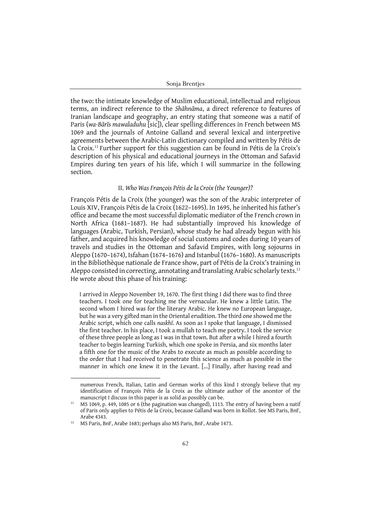the two: the intimate knowledge of Muslim educational, intellectual and religious terms, an indirect reference to the *Shāhnāma*, a direct reference to features of Iranian landscape and geography, an entry stating that someone was a natif of Paris (*wa-Bārīs mawaladuhu* [sic]), clear spelling differences in French between MS 1069 and the journals of Antoine Galland and several lexical and interpretive agreements between the Arabic-Latin dictionary compiled and written by Pétis de la Croix.<sup>11</sup> Further support for this suggestion can be found in Pétis de la Croix's description of his physical and educational journeys in the Ottoman and Safavid Empires during ten years of his life, which I will summarize in the following section.

## II. *Who Was François Pétis de la Croix (the Younger)?*

François Pétis de la Croix (the younger) was the son of the Arabic interpreter of Louis XIV, François Pétis de la Croix (1622–1695). In 1695, he inherited his father's office and became the most successful diplomatic mediator of the French crown in North Africa (1681–1687). He had substantially improved his knowledge of languages (Arabic, Turkish, Persian), whose study he had already begun with his father, and acquired his knowledge of social customs and codes during 10 years of travels and studies in the Ottoman and Safavid Empires, with long sojourns in Aleppo (1670–1674), Isfahan (1674–1676) and Istanbul (1676–1680). As manuscripts in the Bibliothèque nationale de France show, part of Pétis de la Croix's training in Aleppo consisted in correcting, annotating and translating Arabic scholarly texts.12 He wrote about this phase of his training:

I arrived in Aleppo November 19, 1670. The first thing I did there was to find three teachers. I took one for teaching me the vernacular. He knew a little Latin. The second whom I hired was for the literary Arabic. He knew no European language, but he was a very gifted man in the Oriental erudition. The third one showed me the Arabic script, which one calls *naskhī*. As soon as I spoke that language, I dismissed the first teacher. In his place, I took a mullah to teach me poetry. I took the service of these three people as long as I was in that town. But after a while I hired a fourth teacher to begin learning Turkish, which one spoke in Persia, and six months later a fifth one for the music of the Arabs to execute as much as possible according to the order that I had received to penetrate this science as much as possible in the manner in which one knew it in the Levant. [...] Finally, after having read and

numerous French, Italian, Latin and German works of this kind I strongly believe that my identification of François Pétis de la Croix as the ultimate author of the ancestor of the manuscript I discuss in this paper is as solid as possibly can be.

<sup>&</sup>lt;sup>11</sup> MS 1069, p. 449, 1085 or 6 (the pagination was changed), 1113. The entry of having been a natif of Paris only applies to Pétis de la Croix, because Galland was born in Rollot. See MS Paris, BnF, Arabe 4343.

<sup>&</sup>lt;sup>12</sup> MS Paris, BnF, Arabe 1683; perhaps also MS Paris, BnF, Arabe 1473.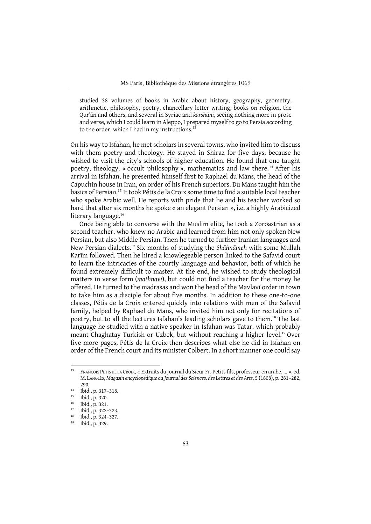studied 38 volumes of books in Arabic about history, geography, geometry, arithmetic, philosophy, poetry, chancellary letter-writing, books on religion, the Qurʾān and others, and several in Syriac and *karshūnī*, seeing nothing more in prose and verse, which I could learn in Aleppo, I prepared myself to go to Persia according to the order, which I had in my instructions.<sup>1</sup>

On his way to Isfahan, he met scholars in several towns, who invited him to discuss with them poetry and theology. He stayed in Shiraz for five days, because he wished to visit the city's schools of higher education. He found that one taught poetry, theology, « occult philosophy », mathematics and law there.<sup>14</sup> After his arrival in Isfahan, he presented himself first to Raphael du Mans, the head of the Capuchin house in Iran, on order of his French superiors. Du Mans taught him the basics of Persian.15 It took Pétis de la Croix some time to find a suitable local teacher who spoke Arabic well. He reports with pride that he and his teacher worked so hard that after six months he spoke « an elegant Persian », i.e. a highly Arabicized literary language.<sup>16</sup>

Once being able to converse with the Muslim elite, he took a Zoroastrian as a second teacher, who knew no Arabic and learned from him not only spoken New Persian, but also Middle Persian. Then he turned to further Iranian languages and New Persian dialects.17 Six months of studying the *Shāhnāmeh* with some Mullah Karīm followed. Then he hired a knowlegeable person linked to the Safavid court to learn the intricacies of the courtly language and behavior, both of which he found extremely difficult to master. At the end, he wished to study theological matters in verse form (*mathnavī*), but could not find a teacher for the money he offered. He turned to the madrasas and won the head of the Mavlavī order in town to take him as a disciple for about five months. In addition to these one-to-one classes, Pétis de la Croix entered quickly into relations with men of the Safavid family, helped by Raphael du Mans, who invited him not only for recitations of poetry, but to all the lectures Isfahan's leading scholars gave to them.18 The last language he studied with a native speaker in Isfahan was Tatar, which probably meant Chaghatay Turkish or Uzbek, but without reaching a higher level.<sup>19</sup> Over five more pages, Pétis de la Croix then describes what else he did in Isfahan on order of the French court and its minister Colbert. In a short manner one could say

<sup>&</sup>lt;sup>13</sup> FRANÇOIS PÉTIS DE LA CROIX, « Extraits du Journal du Sieur Fr. Petits fils, professeur en arabe, ... », ed. M. LANGLÈS, *Magasin encyclopédique ou Journal des Sciences, des Lettres et des Arts*, 5 (1808), p. 281–282,

<sup>290.&</sup>lt;br>
<sup>14</sup> Ibid., p. 317–318.<br>
<sup>15</sup> Ibid., p. 320.

<sup>15</sup> Ibid., p. 320.

<sup>16</sup> Ibid., p. 321.

 $17$  Ibid., p. 322–323.

 $18$  Ibid., p. 324–327.

<sup>19</sup> Ibid., p. 329.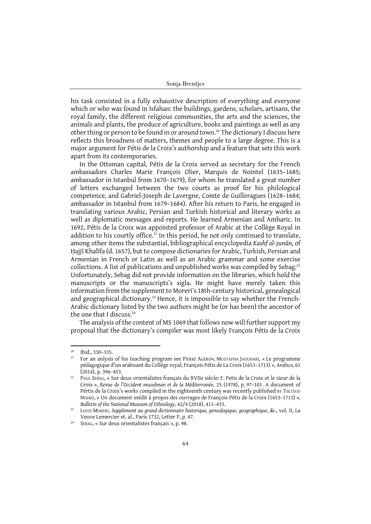his task consisted in a fully exhaustive description of everything and everyone which or who was found in Isfahan: the buildings, gardens, scholars, artisans, the royal family, the different religious communities, the arts and the sciences, the animals and plants, the produce of agriculture, books and paintings as well as any other thing or person to be found in or around town.<sup>20</sup> The dictionary I discuss here reflects this broadness of matters, themes and people to a large degree. This is a major argument for Pétis de la Croix's authorship and a feature that sets this work apart from its contemporaries.

In the Ottoman capital, Pétis de la Croix served as secretary for the French ambassadors Charles Marie François Olier, Marquis de Nointel (1635–1685; ambassador in Istanbul from 1670–1679), for whom he translated a great number of letters exchanged between the two courts as proof for his philological competence, and Gabriel-Joseph de Lavergne, Comte de Guilleragues (1628–1684; ambassador in Istanbul from 1679–1684). After his return to Paris, he engaged in translating various Arabic, Persian and Turkish historical and literary works as well as diplomatic messages and reports. He learned Armenian and Amharic. In 1692, Pétis de la Croix was appointed professor of Arabic at the Collège Royal in addition to his courtly office.<sup>21</sup> In this period, he not only continued to translate, among other items the substantial, bibliographical encyclopedia *Kashf al-ẓunūn,* of Ḥajjī Khalīfa (d. 1657), but to compose dictionaries for Arabic, Turkish, Persian and Armenian in French or Latin as well as an Arabic grammar and some exercise collections. A list of publications and unpublished works was compiled by Sebag.<sup>22</sup> Unfortunately, Sebag did not provide information on the libraries, which hold the manuscripts or the manuscripts's sigla. He might have merely taken this information from the supplement to Moreri's 18th-century historical, genealogical and geographical dictionary.<sup>23</sup> Hence, it is impossible to say whether the French-Arabic dictionary listed by the two authors might be (or has been) the ancestor of the one that I discuss.<sup>24</sup>

The analysis of the content of MS 1069 that follows now will further support my proposal that the dictionary's compiler was most likely François Pétis de la Croix

<sup>&</sup>lt;sup>20</sup> Ibid., 330–335.<br><sup>21</sup> For an anlysis

<sup>21</sup> For an anlysis of his teaching program see PIERRE AGERON, MUSTAPHA JAOUHARI, « Le programme pédagogique d'un arabisant du Collège royal, François Pétis de La Croix (1653–1713) », *Arabica*, 61 (2014), p. 396–453.

<sup>&</sup>lt;sup>22</sup> PAUL SEBAG, « Sur deux orientalistes français du XVIIe siècle: F. Petis de la Croix et le sieur de la Croix », *Revue de l'Occident musulman et de la Méditerranée*, 25 (1978), p. 97–101. A document of Pértis de la Croix's works compiled in the eighteenth century was recently published BY TSETSUO NISHIO, « Un document inédit à propos des ouvrages de François Pétis de la Croix (1653–1713) », *Bulletin of the National Museum of Ethnology*, 42/4 (2018), 411–433.

<sup>23</sup> LOUIS MORERI, *Supplement au grand dictionnaire historique, genealogique, geographique, &c.,* vol. II, La Veuve Lemercier et. al., Paris 1732, Letter P, p. 47.

<sup>24</sup> SEBAG, « Sur deux orientalistes français », p. 98.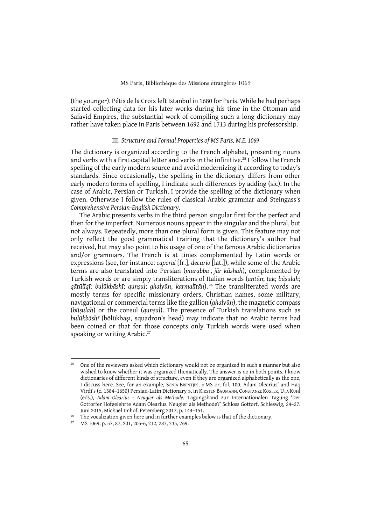(the younger). Pétis de la Croix left Istanbul in 1680 for Paris. While he had perhaps started collecting data for his later works during his time in the Ottoman and Safavid Empires, the substantial work of compiling such a long dictionary may rather have taken place in Paris between 1692 and 1713 during his professorship.

### III. *Structure and Formal Properties of MS Paris, M.E. 1069*

The dictionary is organized according to the French alphabet, presenting nouns and verbs with a first capital letter and verbs in the infinitive.<sup>25</sup> I follow the French spelling of the early modern source and avoid modernizing it according to today's standards. Since occasionally, the spelling in the dictionary differs from other early modern forms of spelling, I indicate such differences by adding (sic). In the case of Arabic, Persian or Turkish, I provide the spelling of the dictionary when given. Otherwise I follow the rules of classical Arabic grammar and Steingass's *Comprehensive Persian-English Dictionary*.

The Arabic presents verbs in the third person singular first for the perfect and then for the imperfect. Numerous nouns appear in the singular and the plural, but not always. Repeatedly, more than one plural form is given. This feature may not only reflect the good grammatical training that the dictionary's author had received, but may also point to his usage of one of the famous Arabic dictionaries and/or grammars. The French is at times complemented by Latin words or expressions (see, for instance: *caporal* [fr.], *decurio* [lat.]), while some of the Arabic terms are also translated into Persian (*murabbaʿ*, *jār kūshah*), complemented by Turkish words or are simply transliterations of Italian words (*antūn*; *tak*; *būṣulah*; qātūlīqī; bulūkbāshī; qunșul; ghalyūn, karmalītān).<sup>26</sup> The transliterated words are mostly terms for specific missionary orders, Christian names, some military, navigational or commercial terms like the gallion (*ghalyūn*), the magnetic compass (*būṣulah*) or the consul (*qunṣul*). The presence of Turkish translations such as *bulūkbāshī* (bölükbaşı, squadron's head) may indicate that no Arabic terms had been coined or that for those concepts only Turkish words were used when speaking or writing Arabic.<sup>27</sup>

 $25$  One of the reviewers asked which dictionary would not be organized in such a manner but also wished to know whether it was organized thematically. The answer is no in both points. I know dictionaries of different kinds of structure, even if they are organized alphabetically as the one, I discuss here. See, for an example, SONJA BRENTJES, « MS or. fol. 100. Adam Olearius' and Haq Virdī's (c. 1584–1650) Persian-Latin Dictionary », in KIRSTEN BAUMANN, CONSTANZE KÖSTER, UTA KUHl (eds.), *Adam Olearius – Neugier als Methode*. Tagungsband zur Internationalen Tagung 'Der Gottorfer Hofgelehrte Adam Olearius. Neugier als Methode?' Schloss Gottorf, Schleswig, 24–27.

Juni 2015, Michael Imhof, Petersberg 2017, p. 144–151.<br>The vocalization given here and in further examples below is that of the dictionary.

MS 1069, p. 57, 87, 201, 205-6, 212, 287, 335, 769.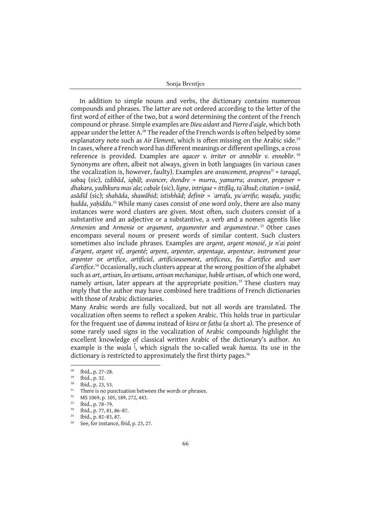In addition to simple nouns and verbs, the dictionary contains numerous compounds and phrases. The latter are not ordered according to the letter of the first word of either of the two, but a word determining the content of the French compound or phrase. Simple examples are *Dieu aidant* and *Pierre d'aigle*, which both appear under the letter A.<sup>28</sup> The reader of the French words is often helped by some explanatory note such as *Air Element*, which is often missing on the Arabic side.<sup>29</sup> In cases, where a French word has different meanings or different spellings, a cross reference is provided. Examples are *agacer v. irriter* or *annoblir v. ennoblir*. <sup>30</sup> Synonyms are often, albeit not always, given in both languages (in various cases the vocalization is, however, faulty). Examples are *avancement, progress31* = *taraqqī*, *sabaq* (sic), *izdibād*, *iqbāl*; *avancer, étendre* = *murra*, *yamurru*; *avancer, proposer* = *dhakara, yadhkuru masʾala*; *cabale* (sic), *ligne*, *intrigue* = *ittifāq*, *taʿāhud*; *citation* = *isnād*, asādīd (sic); shahāda, shawāhid; istishhād; definir = ʿarrafa, yuʿarrifu; wasafa, yasifu; *ḥadda*, *yaḥiddu*. <sup>32</sup> While many cases consist of one word only, there are also many instances were word clusters are given. Most often, such clusters consist of a substantive and an adjective or a substantive, a verb and a nomen agentis like *Armenien* and *Armenie* or *argument*, *argumenter* and *argumenteur*. <sup>33</sup> Other cases encompass several nouns or present words of similar content. Such clusters sometimes also include phrases. Examples are *argent*, *argent monoié*, *je n'ai point d'argent*, *argent vif*, *argenté*; *arpent*, *arpenter*, *arpentage*, *arpenteur*, *instrument pour arpenter* or *artifice*, *artificiel*, *artificieusement*, *artificeux*, *feu d'artifice* and *user d'artifice*. <sup>34</sup> Occasionally, such clusters appear at the wrong position of the alphabet such as *art*, *artisan*, *les artisans*, *artisan mechanique*, *habile artisan*, of which one word, namely *artisan*, later appears at the appropriate position.<sup>35</sup> These clusters may imply that the author may have combined here traditions of French dictionaries with those of Arabic dictionaries.

Many Arabic words are fully vocalized, but not all words are translated. The vocalization often seems to reflect a spoken Arabic. This holds true in particular for the frequent use of *ḍamma* instead of *kisra* or *fatḥa* (a short a). The presence of some rarely used signs in the vocalization of Arabic compounds highlight the excellent knowledge of classical written Arabic of the dictionary's author. An example is the *waṣla* ٱ, which signals the so-called weak *hamza*. Its use in the dictionary is restricted to approximately the first thirty pages.<sup>36</sup>

<sup>&</sup>lt;sup>28</sup> Ibid., p. 27–28.<br><sup>29</sup> Ibid., p. 32.

 $30$  Ibid., p. 23, 53.

<sup>&</sup>lt;sup>31</sup> There is no punctuation between the words or phrases.<br><sup>32</sup> MS 1060 n 105, 180, 272, 443

MS 1069, p. 105, 189, 272, 443.

<sup>33</sup> Ibid., p. 78–79.

 $^{34}$  Ibid., p. 77, 81, 86–87.

 $^{35}$  Ibid., p. 82–83, 87.

See, for instance, Ibid, p. 23, 27.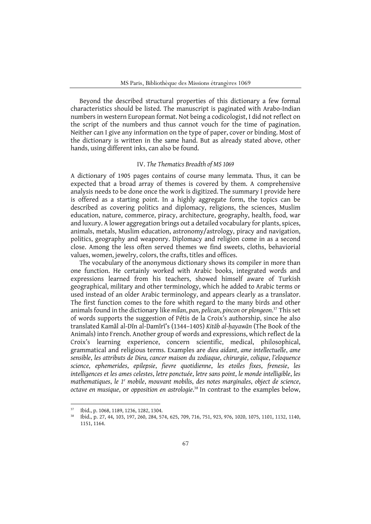Beyond the described structural properties of this dictionary a few formal characteristics should be listed. The manuscript is paginated with Arabo-Indian numbers in western European format. Not being a codicologist, I did not reflect on the script of the numbers and thus cannot vouch for the time of pagination. Neither can I give any information on the type of paper, cover or binding. Most of the dictionary is written in the same hand. But as already stated above, other hands, using different inks, can also be found.

#### IV. *The Thematics Breadth of MS 1069*

A dictionary of 1905 pages contains of course many lemmata. Thus, it can be expected that a broad array of themes is covered by them. A comprehensive analysis needs to be done once the work is digitized. The summary I provide here is offered as a starting point. In a highly aggregate form, the topics can be described as covering politics and diplomacy, religions, the sciences, Muslim education, nature, commerce, piracy, architecture, geography, health, food, war and luxury. A lower aggregation brings out a detailed vocabulary for plants, spices, animals, metals, Muslim education, astronomy/astrology, piracy and navigation, politics, geography and weaponry. Diplomacy and religion come in as a second close. Among the less often served themes we find sweets, cloths, behaviorial values, women, jewelry, colors, the crafts, titles and offices.

The vocabulary of the anonymous dictionary shows its compiler in more than one function. He certainly worked with Arabic books, integrated words and expressions learned from his teachers, showed himself aware of Turkish geographical, military and other terminology, which he added to Arabic terms or used instead of an older Arabic terminology, and appears clearly as a translator. The first function comes to the fore whith regard to the many birds and other animals found in the dictionary like *milan*, *pan*, *pelican*, *pincon* or *plongeon*. <sup>37</sup> This set of words supports the suggestion of Pétis de la Croix's authorship, since he also translated Kamāl al-Dīn al-Damīrī's (1344–1405) *Kitāb al-ḥayawān* (The Book of the Animals) into French. Another group of words and expressions, which reflect de la Croix's learning experience, concern scientific, medical, philosophical, grammatical and religious terms. Examples are *dieu aidant*, *ame intellectuelle*, *ame sensible*, *les attributs de Dieu, cancer maison du zodiaque*, *chirurgie*, *colique*, *l'eloquence science*, *ephemerides*, *epilepsie*, *fievre quotidienne*, *les etoiles fixes*, *frenesie*, *les intelligences et les ames celestes*, *letre ponctuée*, *letre sans point*, *le monde intelligible*, *les mathematiques*, *le 1e mobile*, *mouvant mobilis*, *des notes marginales*, *object de science*, *octave en musique*, or *opposition en astrologie*. <sup>38</sup> In contrast to the examples below,

<sup>37</sup> Ibid., p. 1068, 1189, 1236, 1282, 1304.

<sup>38</sup> Ibid., p. 27, 44, 103, 197, 260, 284, 574, 625, 709, 716, 751, 923, 976, 1020, 1075, 1101, 1132, 1140, 1151, 1164.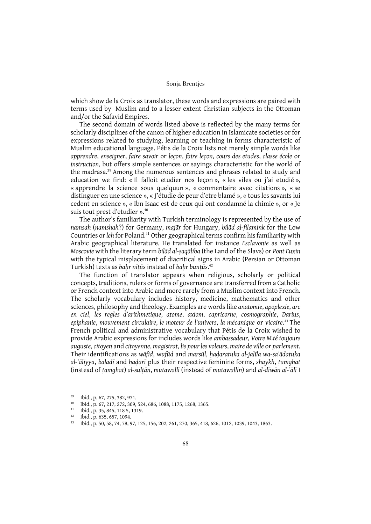which show de la Croix as translator, these words and expressions are paired with terms used by Muslim and to a lesser extent Christian subjects in the Ottoman and/or the Safavid Empires.

The second domain of words listed above is reflected by the many terms for scholarly disciplines of the canon of higher education in Islamicate societies or for expressions related to studying, learning or teaching in forms characteristic of Muslim educational language. Pétis de la Croix lists not merely simple words like *apprendre*, *enseigner*, *faire savoir* or *leçon*, *faire leçon*, *cours des etudes*, *classe école* or *instruction*, but offers simple sentences or sayings characteristic for the world of the madrasa.39 Among the numerous sentences and phrases related to study and education we find: « Il falloit etudier nos leçon », « les viles ou j'ai etudié », « apprendre la science sous quelquun », « commentaire avec citations », « se distinguer en une science », « J'étudie de peur d'etre blamé », « tous les savants lui cedent en science », « Ibn Isaac est de ceux qui ont condamné la chimie », or « Je suis tout prest d'etudier ». 40

The author's familiarity with Turkish terminology is represented by the use of *namsah* (*namshah*?) for Germany, *majār* for Hungary, *bilād al-filamink* for the Low Countries or *leh* for Poland.41 Other geographical terms confirm his familiarity with Arabic geographical literature. He translated for instance *Esclavonie* as well as *Moscovie* with the literary term *bilād al-ṣaqāliba* (the Land of the Slavs) or *Pont Euxin* with the typical misplacement of diacritical signs in Arabic (Persian or Ottoman Turkish) texts as *baḥr nīṭūs* instead of *baḥr bunṭūs*. 42

The function of translator appears when religious, scholarly or political concepts, traditions, rulers or forms of governance are transferred from a Catholic or French context into Arabic and more rarely from a Muslim context into French. The scholarly vocabulary includes history, medicine, mathematics and other sciences, philosophy and theology. Examples are words like *anatomie*, *apoplexie*, *arc en ciel*, *les regles d'arithmetique*, *atome*, *axiom*, *capricorne*, *cosmographie*, *Darius*, *epiphanie*, *mouvement circulaire*, *le moteur de l'univers*, *la mécanique* or *vicaire*. <sup>43</sup> The French political and administrative vocabulary that Pétis de la Croix wished to provide Arabic expressions for includes words like *ambassadeur*, *Votre M.té toujours auguste*, *citoyen* and *citoyenne*, *magistrat*, *lis pour les voleurs*, *maire de ville* or *parlement*. Their identifications as *wāfid*, w*ufūd* and *marsūl*, *ḥaḍaratuka al-jalīla wa-saʿādatuka al-ʿāliyya*, *baladī* and *ḥaḍarī* plus their respective feminine forms, *shaykh*, *ṭumghat* (instead of *ṭamghat*) *al-sulṭān*, *mutawallī* (instead of *mutawallin*) and *al-dīwān al-ʿālī* I

<sup>39</sup> Ibid., p. 67, 275, 382, 971.

<sup>40</sup> Ibid., p. 67, 217, 272, 309, 524, 686, 1088, 1175, 1268, 1365.

<sup>&</sup>lt;sup>41</sup> Ibid., p. 35, 845, 118 5, 1319.

<sup>&</sup>lt;sup>42</sup> Ibid., p. 635, 657, 1094.

<sup>43</sup> Ibid., p. 50, 58, 74, 78, 97, 125, 156, 202, 261, 270, 365, 418, 626, 1012, 1039, 1043, 1863.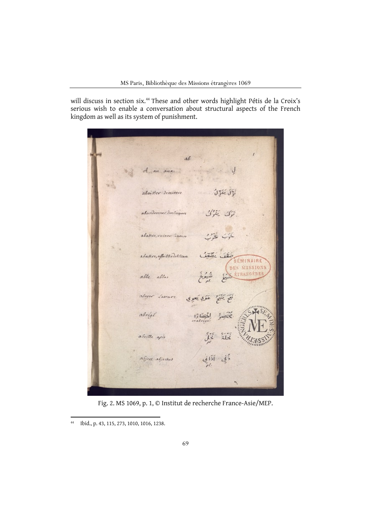will discuss in section six.44 These and other words highlight Pétis de la Croix's serious wish to enable a conversation about structural aspects of the French kingdom as well as its system of punishment.

ab A au aux أَذَلَ يَغَزُّلُ abaisser deminere ترک ينزل abandonner Dertinguere 47 abattre, ruiner Geren Citize City abattre, affoiblir delition ÉMINAIRE DES MISSIONS ÉTRANGÉRE abbe abbas Laware نَعَ بَنَبِهِ ۚ عَوَى بَعُوِي abover abrégé abeille apis  $21 -$ ڏَبِي آذاني abject abjectus

Fig. 2. MS 1069, p. 1, © Institut de recherche France-Asie/MEP.

<sup>44</sup> Ibid., p. 43, 115, 273, 1010, 1016, 1238.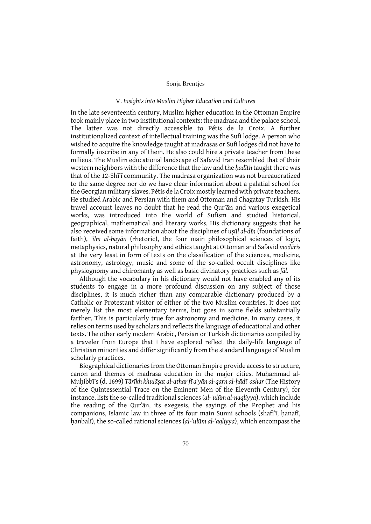## V. *Insights into Muslim Higher Education and Cultures*

In the late seventeenth century, Muslim higher education in the Ottoman Empire took mainly place in two institutional contexts: the madrasa and the palace school. The latter was not directly accessible to Pétis de la Croix. A further institutionalized context of intellectual training was the Sufi lodge. A person who wished to acquire the knowledge taught at madrasas or Sufi lodges did not have to formally inscribe in any of them. He also could hire a private teacher from these milieus. The Muslim educational landscape of Safavid Iran resembled that of their western neighbors with the difference that the law and the *ḥadīth* taught there was that of the 12-Shīʿī community. The madrasa organization was not bureaucratized to the same degree nor do we have clear information about a palatial school for the Georgian military slaves. Pétis de la Croix mostly learned with private teachers. He studied Arabic and Persian with them and Ottoman and Chagatay Turkish. His travel account leaves no doubt that he read the Qurʾān and various exegetical works, was introduced into the world of Sufism and studied historical, geographical, mathematical and literary works. His dictionary suggests that he also received some information about the disciplines of *uṣūl al-dīn* (foundations of faith), *ʿilm al-bayān* (rhetoric), the four main philosophical sciences of logic, metaphysics, natural philosophy and ethics taught at Ottoman and Safavid *madāris* at the very least in form of texts on the classification of the sciences, medicine, astronomy, astrology, music and some of the so-called occult disciplines like physiognomy and chiromanty as well as basic divinatory practices such as *fāl*.

Although the vocabulary in his dictionary would not have enabled any of its students to engage in a more profound discussion on any subject of those disciplines, it is much richer than any comparable dictionary produced by a Catholic or Protestant visitor of either of the two Muslim countries. It does not merely list the most elementary terms, but goes in some fields substantially farther. This is particularly true for astronomy and medicine. In many cases, it relies on terms used by scholars and reflects the language of educational and other texts. The other early modern Arabic, Persian or Turkish dictionaries compiled by a traveler from Europe that I have explored reflect the daily-life language of Christian minorities and differ significantly from the standard language of Muslim scholarly practices.

Biographical dictionaries from the Ottoman Empire provide access to structure, canon and themes of madrasa education in the major cities. Muhammad al-Muḥibbī's (d. 1699) *Tārīkh khulāṣat al-athar fī aʿyān al-qarn al-ḥādī ʿashar* (The History of the Quintessential Trace on the Eminent Men of the Eleventh Century), for instance, lists the so-called traditional sciences (*al-ʿulūm al-naqliyya*), which include the reading of the Qurʾān, its exegesis, the sayings of the Prophet and his companions, Islamic law in three of its four main Sunni schools (shafi'i, hanafi, ḥanbalī), the so-called rational sciences (*al-ʿulūm al-ʿaqliyya*), which encompass the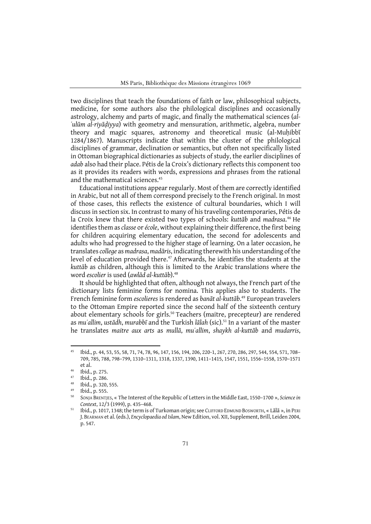two disciplines that teach the foundations of faith or law, philosophical subjects, medicine, for some authors also the philological disciplines and occasionally astrology, alchemy and parts of magic, and finally the mathematical sciences (*al-ʿulūm al-riyāḍiyya*) with geometry and mensuration, arithmetic, algebra, number theory and magic squares, astronomy and theoretical music (al-Muḥibbī 1284/1867). Manuscripts indicate that within the cluster of the philological disciplines of grammar, declination or semantics, but often not specifically listed in Ottoman biographical dictionaries as subjects of study, the earlier disciplines of *adab* also had their place. Pétis de la Croix's dictionary reflects this component too as it provides its readers with words, expressions and phrases from the rational and the mathematical sciences.<sup>45</sup>

Educational institutions appear regularly. Most of them are correctly identified in Arabic, but not all of them correspond precisely to the French original. In most of those cases, this reflects the existence of cultural boundaries, which I will discuss in section six. In contrast to many of his traveling contemporaries, Pétis de la Croix knew that there existed two types of schools: *kuttāb* and *madrasa*. <sup>46</sup> He identifies them as *classe* or *école*, without explaining their difference, the first being for children acquiring elementary education, the second for adolescents and adults who had progressed to the higher stage of learning. On a later occasion, he translates *college* as *madrasa*, *madāris*, indicating therewith his understanding of the level of education provided there.<sup>47</sup> Afterwards, he identifies the students at the *kuttāb* as children, although this is limited to the Arabic translations where the word *escolier* is used (*awlād al-kuttāb*).48

It should be highlighted that often, although not always, the French part of the dictionary lists feminine forms for nomina. This applies also to students. The French feminine form *escolieres* is rendered as *banāt al-kuttāb*. <sup>49</sup> European travelers to the Ottoman Empire reported since the second half of the sixteenth century about elementary schools for girls.<sup>50</sup> Teachers (maitre, precepteur) are rendered as *muʿallim*, *ustādh*, *murabbī* and the Turkish *lālah* (sic).51 In a variant of the master he translates *maitre aux arts* as *mullā*, *muʿallim*, *shaykh al-kuttāb* and *mudarris*,

<sup>45</sup> Ibid., p. 44, 53, 55, 58, 71, 74, 78, 96, 147, 156, 194, 206, 220-1, 267, 270, 286, 297, 544, 554, 571, 708– 709, 785, 788, 798–799, 1310–1311, 1318, 1337, 1390, 1411–1415, 1547, 1551, 1556–1558, 1570–1571 et al.

 $^{46}$  Ibid., p. 275.

 $\frac{47}{48}$  Ibid., p. 286.

 $^{48}$  Ibid., p. 320, 555.

Ibid., p. 555.

<sup>50</sup> SONJA BRENTJES, « The Interest of the Republic of Letters in the Middle East, 1550–1700 », *Science in Context*, 12/3 (1999), p. 435–468.

<sup>&</sup>lt;sup>51</sup> Ibid., p. 1017, 1348; the term is of Turkoman origin; see CLIFFORD EDMUND BOSWORTH, «Lālā », in PERI J.BEARMAN et al. (eds.), *Encyclopaedia od Islam*, New Edition, vol. XII, Supplement, Brill, Leiden 2004, p. 547.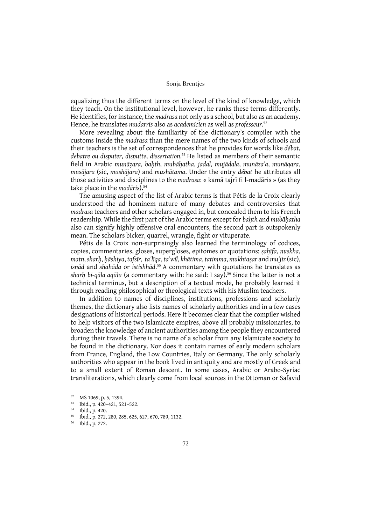equalizing thus the different terms on the level of the kind of knowledge, which they teach. On the institutional level, however, he ranks these terms differently. He identifies, for instance, the *madrasa* not only as a school, but also as an academy. Hence, he translates *mudarris* also as *academicien* as well as *professeur*. 52

More revealing about the familiarity of the dictionary's compiler with the customs inside the *madrasa* than the mere names of the two kinds of schools and their teachers is the set of correspondences that he provides for words like *débat*, *debatre ou disputer*, *disputte*, *dissertation*. <sup>53</sup> He listed as members of their semantic field in Arabic munāzara, bahth, mubāhatha, jadal, mujādala, munāzaʿa, munāqara, *musājara* (sic, *mushājara*) and *mushātama*. Under the entry *débat* he attributes all those activities and disciplines to the *madrasa*: « kamā tajrī fi l-madāris » (as they take place in the *madāris*).54

The amusing aspect of the list of Arabic terms is that Pétis de la Croix clearly understood the ad hominem nature of many debates and controversies that *madrasa* teachers and other scholars engaged in, but concealed them to his French readership. While the first part of the Arabic terms except for *baḥth* and *mubāḥatha* also can signify highly offensive oral encounters, the second part is outspokenly mean. The scholars bicker, quarrel, wrangle, fight or vituperate.

Pétis de la Croix non-surprisingly also learned the terminology of codices, copies, commentaries, gloses, supergloses, epitomes or quotations: *ṣaḥīfa*, *nuskha*, matn, sharh, hāshiya, tafsīr, ta līga, ta wīl, khātima, tatimma, mukhtasar and mu'jiz (sic), *isnād* and *shahāda* or *istishhād*. <sup>55</sup> A commentary with quotations he translates as *sharḥ bi-qāla aqūlu* (a commentary with: he said: I say).56 Since the latter is not a technical terminus, but a description of a textual mode, he probably learned it through reading philosophical or theological texts with his Muslim teachers.

In addition to names of disciplines, institutions, professions and scholarly themes, the dictionary also lists names of scholarly authorities and in a few cases designations of historical periods. Here it becomes clear that the compiler wished to help visitors of the two Islamicate empires, above all probably missionaries, to broaden the knowledge of ancient authorities among the people they encountered during their travels. There is no name of a scholar from any Islamicate society to be found in the dictionary. Nor does it contain names of early modern scholars from France, England, the Low Countries, Italy or Germany. The only scholarly authorities who appear in the book lived in antiquity and are mostly of Greek and to a small extent of Roman descent. In some cases, Arabic or Arabo-Syriac transliterations, which clearly come from local sources in the Ottoman or Safavid

<sup>52</sup> MS 1069, p. 5, 1394.

<sup>53</sup> Ibid., p. 420–421, 521–522.

 $\frac{54}{55}$  Ibid., p. 420.

<sup>55</sup> Ibid., p. 272, 280, 285, 625, 627, 670, 789, 1132.

<sup>56</sup> Ibid., p. 272.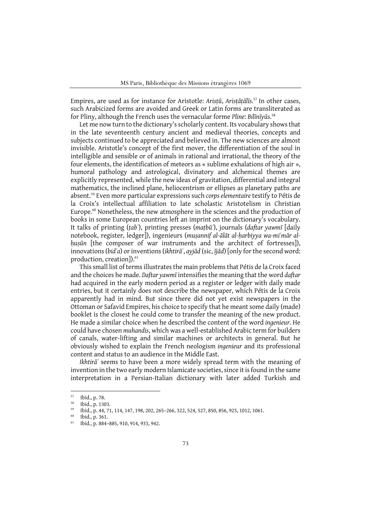Empires, are used as for instance for Aristotle: *Arisṭū*, *Arisṭāṭālīs*. <sup>57</sup> In other cases, such Arabicized forms are avoided and Greek or Latin forms are transliterated as for Pliny, although the French uses the vernacular forme *Pline*: *Bilīnīyūs*. 58

Let me now turn to the dictionary's scholarly content. Its vocabulary shows that in the late seventeenth century ancient and medieval theories, concepts and subjects continued to be appreciated and believed in. The new sciences are almost invisible. Aristotle's concept of the first mover, the differentiation of the soul in intelligible and sensible or of animals in rational and irrational, the theory of the four elements, the identification of meteors as « sublime exhalations of high air », humoral pathology and astrological, divinatory and alchemical themes are explicitly represented, while the new ideas of gravitation, differential and integral mathematics, the inclined plane, heliocentrism or ellipses as planetary paths are absent.59 Even more particular expressions such *corps elementaire* testify to Pétis de la Croix's intellectual affiliation to late scholastic Aristotelism in Christian Europe. $60$  Nonetheless, the new atmosphere in the sciences and the production of books in some European countries left an imprint on the dictionary's vocabulary. It talks of printing (*ṭabʿ*), printing presses (*maṭbūʿ*), journals (*daftar yawmī* [daily notebook, register, ledger]), ingenieurs (*muṣannif al-ālāt al-ḥarbiyya wa-miʿmār alḥuṣūn* [the composer of war instruments and the architect of fortresses]), innovations (*bidʿa*) or inventions (*ikhtirāʿ*, *ayjād* (sic, *ījād*) [only for the second word: production, creation]).<sup>61</sup>

This small list of terms illustrates the main problems that Pétis de la Croix faced and the choices he made. *Daftar yawmī* intensifies the meaning that the word *daftar* had acquired in the early modern period as a register or ledger with daily made entries, but it certainly does not describe the newspaper, which Pétis de la Croix apparently had in mind. But since there did not yet exist newspapers in the Ottoman or Safavid Empires, his choice to specify that he meant some daily (made) booklet is the closest he could come to transfer the meaning of the new product. He made a similar choice when he described the content of the word *ingenieur*. He could have chosen *muhandis*, which was a well-established Arabic term for builders of canals, water-lifting and similar machines or architects in general. But he obviously wished to explain the French neologism *ingenieur* and its professional content and status to an audience in the Middle East.

*Ikhtirāʿ* seems to have been a more widely spread term with the meaning of invention in the two early modern Islamicate societies, since it is found in the same interpretation in a Persian-Italian dictionary with later added Turkish and

<sup>57</sup> Ibid., p. 78.

<sup>58</sup> Ibid., p. 1303.

<sup>&</sup>lt;sup>59</sup> Ibid., p. 44, 71, 114, 147, 198, 202, 265–266, 322, 524, 527, 850, 856, 923, 1012, 1061.

 $^{60}$  Ibid., p. 361.<br> $^{61}$  Ibid. p. 884.

<sup>61</sup> Ibid., p. 884–885, 910, 914, 933, 942.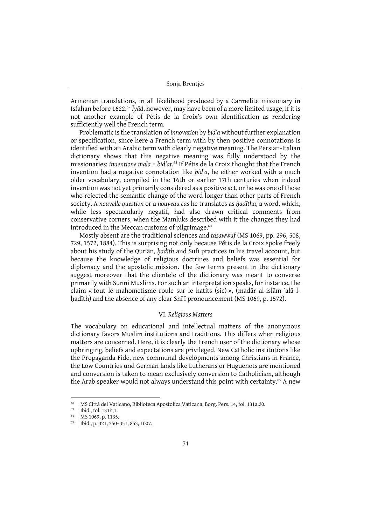Armenian translations, in all likelihood produced by a Carmelite missionary in Isfahan before 1622.<sup>62</sup> *Īyād*, however, may have been of a more limited usage, if it is not another example of Pétis de la Croix's own identification as rendering sufficiently well the French term.

Problematic is the translation of *innovation* by *bidʿa* without further explanation or specification, since here a French term with by then positive connotations is identified with an Arabic term with clearly negative meaning. The Persian-Italian dictionary shows that this negative meaning was fully understood by the missionaries: *inuentione mala* = *bidʿat*. <sup>63</sup> If Pétis de la Croix thought that the French invention had a negative connotation like *bidʿa*, he either worked with a much older vocabulary, compiled in the 16th or earlier 17th centuries when indeed invention was not yet primarily considered as a positive act, or he was one of those who rejected the semantic change of the word longer than other parts of French society. A *nouvelle question* or a *nouveau cas* he translates as *ḥadītha*, a word, which, while less spectacularly negatif, had also drawn critical comments from conservative corners, when the Mamluks described with it the changes they had introduced in the Meccan customs of pilgrimage.<sup>64</sup>

Mostly absent are the traditional sciences and *taṣawwuf* (MS 1069, pp. 296, 508, 729, 1572, 1884). This is surprising not only because Pétis de la Croix spoke freely about his study of the Qurʾān, *ḥadīth* and Sufi practices in his travel account, but because the knowledge of religious doctrines and beliefs was essential for diplomacy and the apostolic mission. The few terms present in the dictionary suggest moreover that the clientele of the dictionary was meant to converse primarily with Sunni Muslims. For such an interpretation speaks, for instance, the claim « tout le mahometisme roule sur le hatits (sic) », (madār al-islām ʿalā lhadīth) and the absence of any clear Shī<sup>T</sup> pronouncement (MS 1069, p. 1572).

## VI. *Religious Matters*

The vocabulary on educational and intellectual matters of the anonymous dictionary favors Muslim institutions and traditions. This differs when religious matters are concerned. Here, it is clearly the French user of the dictionary whose upbringing, beliefs and expectations are privileged. New Catholic institutions like the Propaganda Fide, new communal developments among Christians in France, the Low Countries und German lands like Lutherans or Huguenots are mentioned and conversion is taken to mean exclusively conversion to Catholicism, although the Arab speaker would not always understand this point with certainty.<sup>65</sup> A new

<sup>62</sup> MS Città del Vaticano, Biblioteca Apostolica Vaticana, Borg. Pers. 14, fol. 131a,20.

<sup>63</sup> Ibid., fol. 131b,1.

MS 1069, p. 1135.

<sup>65</sup> Ibid., p. 321, 350–351, 853, 1007.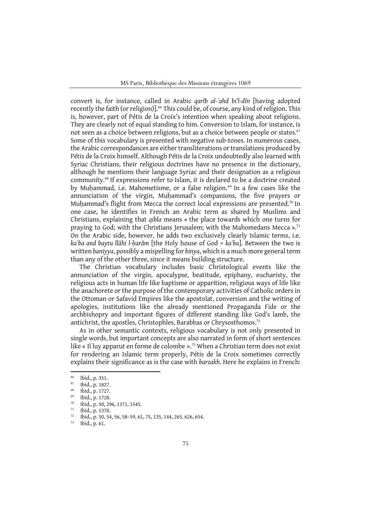convert is, for instance, called in Arabic *qarīb al-ʿahd bi'l-dīn* [having adopted recently the faith (or religion)].<sup>66</sup> This could be, of course, any kind of religion. This is, however, part of Pétis de la Croix's intention when speaking about religions. They are clearly not of equal standing to him. Conversion to Islam, for instance, is not seen as a choice between religions, but as a choice between people or states.<sup>67</sup> Some of this vocabulary is presented with negative sub-tones. In numerous cases, the Arabic correspondances are either transliterations or translations produced by Pétis de la Croix himself. Although Pétis de la Croix undoubtedly also learned with Syriac Christians, their religious doctrines have no presence in the dictionary, although he mentions their language Syriac and their designation as a religious community.68 If expressions refer to Islam, it is declared to be a doctrine created by Muhammad, i.e. Mahometisme, or a false religion.<sup>69</sup> In a few cases like the annunciation of the virgin, Muḥammad's companions, the five prayers or Muhammad's flight from Mecca the correct local expressions are presented.<sup>70</sup> In one case, he identifies in French an Arabic term as shared by Muslims and Christians, explaining that *qibla* means « the place towards which one turns for praying to God; with the Christians Jerusalem; with the Mahomedans Mecca ».<sup>71</sup> On the Arabic side, however, he adds two exclusively clearly Islamic terms, i.e. *kaʿba and baytu llāhi l-ḥarām* [the Holy house of God = *kaʿba*]. Between the two is written *baniyya*, possibly a mispelling for *binya*, which is a much more general term than any of the other three, since it means building structure.

The Christian vocabulary includes basic Christological events like the annunciation of the virgin, apocalypse, beatitude, epiphany, eucharisty, the religious acts in human life like baptisme or apparition, religious ways of life like the anachorete or the purpose of the contemporary activities of Catholic orders in the Ottoman or Safavid Empires like the apostolat, conversion and the writing of apologies, institutions like the already mentioned Propaganda Fide or the archbishopry and important figures of different standing like God's lamb, the antichrist, the apostles, Christophles, Barabbas or Chrysosthomos.<sup>72</sup>

As in other semantic contexts, religious vocabulary is not only presented in single words, but important concepts are also narrated in form of short sentences like « Il luy apparut en forme de colombe ». <sup>73</sup> When a Christian term does not exist for rendering an Islamic term properly, Pétis de la Croix sometimes correctly explains their significance as is the case with *barzakh*. Here he explains in French:

 $^{66}$  Ibid., p. 351.

 $^{67}$  Ibid., p. 1827.

 $^{68}$  Ibid., p. 1727.

Ibid., p. 1728.

<sup>70</sup> Ibid., p. 50, 296, 1371, 1545.

 $^{71}$  Ibid., p. 1370.

 $\frac{72}{12}$  Ibid., p. 50, 54, 56, 58–59, 61, 75, 135, 144, 265, 626, 654.

Ibid., p. 61.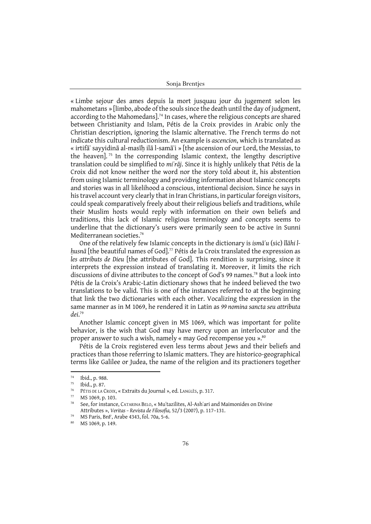« Limbe sejour des ames depuis la mort jusquau jour du jugement selon les mahometans » [limbo, abode of the souls since the death until the day of judgment, according to the Mahomedans].<sup>74</sup> In cases, where the religious concepts are shared between Christianity and Islam, Pétis de la Croix provides in Arabic only the Christian description, ignoring the Islamic alternative. The French terms do not indicate this cultural reductionism. An example is *ascencion*, which is translated as « irtifāʿ sayyidinā al-masīḥ ilā l-samāʾi » [the ascension of our Lord, the Messias, to the heaven].<sup>75</sup> In the corresponding Islamic context, the lengthy descriptive translation could be simplified to *miʿrāj*. Since it is highly unlikely that Pétis de la Croix did not know neither the word nor the story told about it, his abstention from using Islamic terminology and providing information about Islamic concepts and stories was in all likelihood a conscious, intentional decision. Since he says in his travel account very clearly that in Iran Christians, in particular foreign visitors, could speak comparatively freely about their religious beliefs and traditions, while their Muslim hosts would reply with information on their own beliefs and traditions, this lack of Islamic religious terminology and concepts seems to underline that the dictionary's users were primarily seen to be active in Sunni Mediterranean societies.<sup>76</sup>

One of the relatively few Islamic concepts in the dictionary is *ismāʾu* (sic) *llāhi lḥusnā* [the beautiful names of God].77 Pétis de la Croix translated the expression as *les attributs de Dieu* [the attributes of God]. This rendition is surprising, since it interprets the expression instead of translating it. Moreover, it limits the rich discussions of divine attributes to the concept of God's 99 names.<sup>78</sup> But a look into Pétis de la Croix's Arabic-Latin dictionary shows that he indeed believed the two translations to be valid. This is one of the instances referred to at the beginning that link the two dictionaries with each other. Vocalizing the expression in the same manner as in M 1069, he rendered it in Latin as *99 nomina sancta seu attributa dei*. 79

Another Islamic concept given in MS 1069, which was important for polite behavior, is the wish that God may have mercy upon an interlocutor and the proper answer to such a wish, namely « may God recompense you ».80

Pétis de la Croix registered even less terms about Jews and their beliefs and practices than those referring to Islamic matters. They are historico-geographical terms like Galilee or Judea, the name of the religion and its practioners together

 $\frac{74}{75}$  Ibid., p. 988.

 $^{75}$  Ibid., p. 87.

<sup>&</sup>lt;sup>76</sup> PÉTIS DE LA CROIX, « Extraits du Journal », ed. LANGLÈS, p. 317.<br><sup>77</sup> MS 1060, p. 103

MS 1069, p. 103.

<sup>78</sup> See, for instance, CATARINA BELO, « Muʿtazilites, Al-Ashʿari and Maimonides on Divine Attributes », *Veritas – Revista de Filosofia,* 52/3 (2007), p. 117–131.

<sup>79</sup> MS Paris, BnF, Arabe 4343, fol. 70a, 5-6.

MS 1069, p. 149.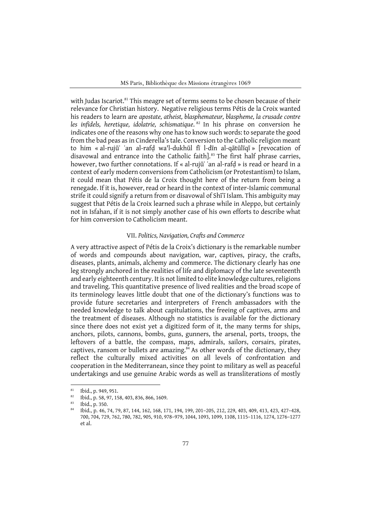with Judas Iscariot.<sup>81</sup> This meagre set of terms seems to be chosen because of their relevance for Christian history. Negative religious terms Pétis de la Croix wanted his readers to learn are *apostate, atheist, blasphemateur, blaspheme, la crusade contre*  les infidels, heretique, idolatrie, schismatique.<sup>82</sup> In his phrase on conversion he indicates one of the reasons why one has to know such words: to separate the good from the bad peas as in Cinderella's tale. Conversion to the Catholic religion meant to him « al-rujūʿ ʿan al-rafḍ wa'l-dukhūl fī l-dīn al-qātūlīqī » [revocation of disavowal and entrance into the Catholic faith].<sup>83</sup> The first half phrase carries, however, two further connotations. If « al-rujū 'an al-rafd » is read or heard in a context of early modern conversions from Catholicism (or Protestantism) to Islam, it could mean that Pétis de la Croix thought here of the return from being a renegade. If it is, however, read or heard in the context of inter-Islamic communal strife it could signify a return from or disavowal of Shī<sup> $\overline{1}$ </sup> Islam. This ambiguity may suggest that Pétis de la Croix learned such a phrase while in Aleppo, but certainly not in Isfahan, if it is not simply another case of his own efforts to describe what for him conversion to Catholicism meant.

## VII. *Politics, Navigation, Crafts and Commerce*

A very attractive aspect of Pétis de la Croix's dictionary is the remarkable number of words and compounds about navigation, war, captives, piracy, the crafts, diseases, plants, animals, alchemy and commerce. The dictionary clearly has one leg strongly anchored in the realities of life and diplomacy of the late seventeenth and early eighteenth century. It is not limited to elite knowledge cultures, religions and traveling. This quantitative presence of lived realities and the broad scope of its terminology leaves little doubt that one of the dictionary's functions was to provide future secretaries and interpreters of French ambassadors with the needed knowledge to talk about capitulations, the freeing of captives, arms and the treatment of diseases. Although no statistics is available for the dictionary since there does not exist yet a digitized form of it, the many terms for ships, anchors, pilots, cannons, bombs, guns, gunners, the arsenal, ports, troops, the leftovers of a battle, the compass, maps, admirals, sailors, corsairs, pirates, captives, ransom or bullets are amazing.<sup>84</sup> As other words of the dictionary, they reflect the culturally mixed activities on all levels of confrontation and cooperation in the Mediterranean, since they point to military as well as peaceful undertakings and use genuine Arabic words as well as transliterations of mostly

<sup>81</sup> Ibid., p. 949, 951.

<sup>82</sup> Ibid., p. 58, 97, 158, 403, 836, 866, 1609.

<sup>83</sup> Ibid., p. 350.

<sup>84</sup> Ibid., p. 46, 74, 79, 87, 144, 162, 168, 171, 194, 199, 201–205, 212, 229, 403, 409, 413, 423, 427–428, 700, 704, 729, 762, 780, 782, 905, 910, 978–979, 1044, 1093, 1099, 1108, 1115–1116, 1274, 1276–1277 et al.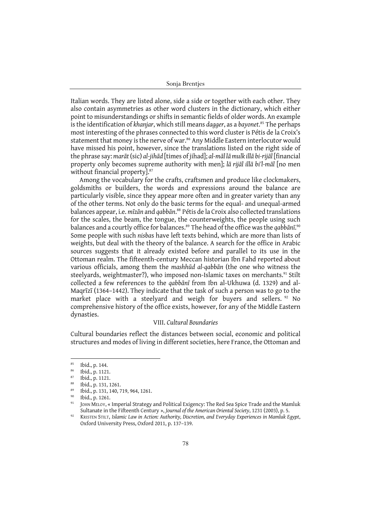Italian words. They are listed alone, side a side or together with each other. They also contain asymmetries as other word clusters in the dictionary, which either point to misunderstandings or shifts in semantic fields of older words. An example is the identification of *khanjar*, which still means *dagger*, as a *bayonet*. <sup>85</sup> The perhaps most interesting of the phrases connected to this word cluster is Pétis de la Croix's statement that money is the nerve of war.<sup>86</sup> Any Middle Eastern interlocutor would have missed his point, however, since the translations listed on the right side of the phrase say: *marāt* (sic) *al-jihād* [times of jihad]; *al-māl lā mulk illā bi-rijāl* [financial property only becomes supreme authority with men]; *lā rijāl illā bi'l-māl* [no men without financial property].<sup>87</sup>

Among the vocabulary for the crafts, craftsmen and produce like clockmakers, goldsmiths or builders, the words and expressions around the balance are particularly visible, since they appear more often and in greater variety than any of the other terms. Not only do the basic terms for the equal- and unequal-armed balances appear, i.e. *mīzān* and *qabbān*. <sup>88</sup> Pétis de la Croix also collected translations for the scales, the beam, the tongue, the counterweights, the people using such balances and a courtly office for balances.89 The head of the office was the *qabbānī*. 90 Some people with such *nisba*s have left texts behind, which are more than lists of weights, but deal with the theory of the balance. A search for the office in Arabic sources suggests that it already existed before and parallel to its use in the Ottoman realm. The fifteenth-century Meccan historian Ibn Fahd reported about various officials, among them the *mashhūd al-qabbān* (the one who witness the steelyards, weightmaster?), who imposed non-Islamic taxes on merchants.<sup>91</sup> Stilt collected a few references to the *qabbānī* from Ibn al-Ukhuwa (d. 1329) and al-Maqrīzī (1364–1442). They indicate that the task of such a person was to go to the market place with a steelyard and weigh for buyers and sellers. <sup>92</sup> No comprehensive history of the office exists, however, for any of the Middle Eastern dynasties.

## VIII. *Cultural Boundaries*

Cultural boundaries reflect the distances between social, economic and political structures and modes of living in different societies, here France, the Ottoman and

 $\begin{array}{c} 85 \ 86 \ 164 \ \text{p. 144.} \end{array}$ 

 $\frac{86}{87}$  Ibid., p. 1121.

 $\frac{87}{88}$  Ibid., p. 1121.

 $^{88}$  Ibid., p. 131, 1261.

<sup>89</sup> Ibid., p. 131, 140, 719, 964, 1261.

Ibid., p. 1261.

<sup>91</sup> JOHN MELOY, « Imperial Strategy and Political Exigency: The Red Sea Spice Trade and the Mamluk Sultanate in the Fifteenth Century », *Journal of the American Oriental Society*, 1231 (2003), p. 5.

<sup>92</sup> KRISTEN STILT, *Islamic Law in Action: Authority, Discretion, and Everyday Experiences in Mamluk Egypt*, Oxford University Press, Oxford 2011, p. 137–139.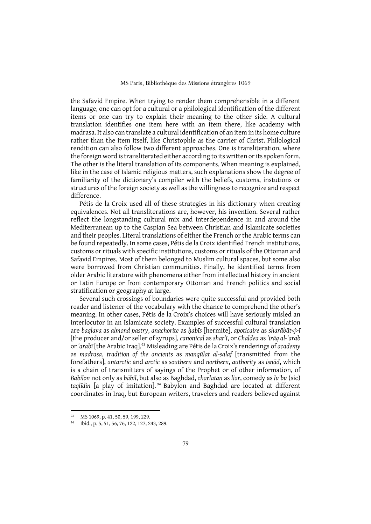MS Paris, Bibliothèque des Missions étrangères 1069

the Safavid Empire. When trying to render them comprehensible in a different language, one can opt for a cultural or a philological identification of the different items or one can try to explain their meaning to the other side. A cultural translation identifies one item here with an item there, like academy with madrasa. It also can translate a cultural identification of an item in its home culture rather than the item itself, like Christophle as the carrier of Christ. Philological rendition can also follow two different approaches. One is transliteration, where the foreign word is transliterated either according to its written or its spoken form. The other is the literal translation of its components. When meaning is explained, like in the case of Islamic religious matters, such explanations show the degree of familiarity of the dictionary's compiler with the beliefs, customs, instutions or structures of the foreign society as well as the willingness to recognize and respect difference.

Pétis de la Croix used all of these strategies in his dictionary when creating equivalences. Not all transliterations are, however, his invention. Several rather reflect the longstanding cultural mix and interdependence in and around the Mediterranean up to the Caspian Sea between Christian and Islamicate societies and their peoples. Literal translations of either the French or the Arabic terms can be found repeatedly. In some cases, Pétis de la Croix identified French institutions, customs or rituals with specific institutions, customs or rituals of the Ottoman and Safavid Empires. Most of them belonged to Muslim cultural spaces, but some also were borrowed from Christian communities. Finally, he identified terms from older Arabic literature with phenomena either from intellectual history in ancient or Latin Europe or from contemporary Ottoman and French politics and social stratification or geography at large.

Several such crossings of boundaries were quite successful and provided both reader and listener of the vocabulary with the chance to comprehend the other's meaning. In other cases, Pétis de la Croix's choices will have seriously misled an interlocutor in an Islamicate society. Examples of successful cultural translation are *baqlava* as *almond pastry*, *anachorite* as *ḥabīs* [hermite], *apoticaire* as *sharābāt<j>ī* [the producer and/or seller of syrups], *canonical* as *sharʿī*, or *Chaldea* as *ʿirāq al-ʿarab* or *ʿarabī* [the Arabic Iraq].93 Misleading are Pétis de la Croix's renderings of *academy* as *madrasa*, *tradition of the ancients* as *manqūlat al-salaf* [transmitted from the forefathers], *antarctic* and *arctic* as *southern* and *northern*, *authority* as *isnād*, which is a chain of transmitters of sayings of the Prophet or of other information, of *Babilon* not only as *bābil*, but also as Baghdad, *charlatan* as *liar*, comedy as *luʿbu* (sic) *taqlīdin* [a play of imitation]. <sup>94</sup> Babylon and Baghdad are located at different coordinates in Iraq, but European writers, travelers and readers believed against

MS 1069, p. 41, 50, 59, 199, 229.

<sup>94</sup> Ibid., p. 5, 51, 56, 76, 122, 127, 243, 289.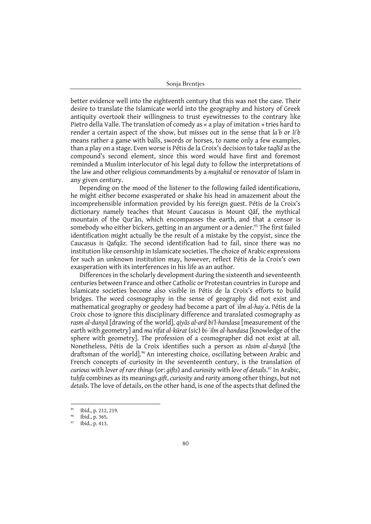better evidence well into the eighteenth century that this was not the case. Their desire to translate the Islamicate world into the geography and history of Greek antiquity overtook their willingness to trust eyewitnesses to the contrary like Pietro della Valle. The translation of comedy as « a play of imitation » tries hard to render a certain aspect of the show, but misses out in the sense that *laʿb* or *liʿb* means rather a game with balls, swords or horses, to name only a few examples, than a play on a stage. Even worse is Pétis de la Croix's decision to take *taqlīd* as the compound's second element, since this word would have first and foremost reminded a Muslim interlocutor of his legal duty to follow the interpretations of the law and other religious commandments by a *mujtahid* or renovator of Islam in any given century.

Depending on the mood of the listener to the following failed identifications, he might either become exasperated or shake his head in amazement about the incomprehensible information provided by his foreign guest. Pétis de la Croix's dictionary namely teaches that Mount Caucasus is Mount Qāf, the mythical mountain of the Qurʾān, which encompasses the earth, and that a censor is somebody who either bickers, getting in an argument or a denier.<sup>95</sup> The first failed identification might actually be the result of a mistake by the copyist, since the Caucasus is Qafqāz. The second identification had to fail, since there was no institution like censorship in Islamicate societies. The choice of Arabic expressions for such an unknown institution may, however, reflect Pétis de la Croix's own exasperation with its interferences in his life as an author.

Differences in the scholarly development during the sixteenth and seventeenth centuries between France and other Catholic or Protestan countries in Europe and Islamicate societies become also visible in Pétis de la Croix's efforts to build bridges. The word cosmography in the sense of geography did not exist and mathematical geography or geodesy had become a part of *ʿilm al-hayʾa*. Pétis de la Croix chose to ignore this disciplinary difference and translated cosmography as *rasm al-dunyā* [drawing of the world], *qiyās al-arḍ bi'l-handasa* [measurement of the earth with geometry] and *maʿrifat al-kūrat* (sic) *bi-ʿilm al-handasa* [knowledge of the sphere with geometry]. The profession of a cosmographer did not exist at all. Nonetheless, Pétis de la Croix identifies such a person as *rāsim al-dunyā* [the draftsman of the world].<sup>96</sup> An interesting choice, oscillating between Arabic and French concepts of curiosity in the seventeenth century, is the translation of *curious* with *lover of rare things* (or: *gifts*) and *curiosity* with *love of details*. <sup>97</sup> In Arabic, t*uḥfa* combines as its meanings *gift*, *curiosity* and *rarity* among other things, but not *details*. The love of details, on the other hand, is one of the aspects that defined the

<sup>95</sup> Ibid., p. 212, 219.

 $^{96}$  Ibid., p. 365.

Ibid., p. 413.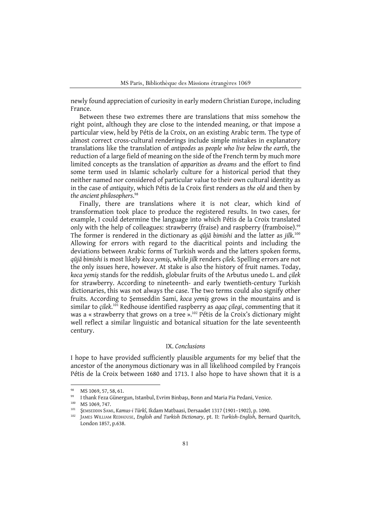newly found appreciation of curiosity in early modern Christian Europe, including France.

Between these two extremes there are translations that miss somehow the right point, although they are close to the intended meaning, or that impose a particular view, held by Pétis de la Croix, on an existing Arabic term. The type of almost correct cross-cultural renderings include simple mistakes in explanatory translations like the translation of *antipodes* as *people who live below the earth*, the reduction of a large field of meaning on the side of the French term by much more limited concepts as the translation of *apparition* as *dreams* and the effort to find some term used in Islamic scholarly culture for a historical period that they neither named nor considered of particular value to their own cultural identity as in the case of *antiquity*, which Pétis de la Croix first renders as *the old* and then by *the ancient philosophers*. 98

Finally, there are translations where it is not clear, which kind of transformation took place to produce the registered results. In two cases, for example, I could determine the language into which Pétis de la Croix translated only with the help of colleagues: strawberry (fraise) and raspberry (framboise).<sup>99</sup> The former is rendered in the dictionary as *qūjā bimishi* and the latter as *jilk*. 100 Allowing for errors with regard to the diacritical points and including the deviations between Arabic forms of Turkish words and the latters spoken forms, *qūjā bimishi* is most likely *koca yemiş*, while *jilk* renders *çilek*. Spelling errors are not the only issues here, however. At stake is also the history of fruit names. Today, *koca yemiş* stands for the reddish, globular fruits of the Arbutus unedo L. and *çilek* for strawberry. According to nineteenth- and early twentieth-century Turkish dictionaries, this was not always the case. The two terms could also signify other fruits. According to Şemseddin Sami, *koca yemiş* grows in the mountains and is similar to *çilek*. <sup>101</sup> Redhouse identified raspberry as *agaç çilegi*, commenting that it was a « strawberry that grows on a tree ». <sup>102</sup> Pétis de la Croix's dictionary might well reflect a similar linguistic and botanical situation for the late seventeenth century.

## IX. *Conclusions*

I hope to have provided sufficiently plausible arguments for my belief that the ancestor of the anonymous dictionary was in all likelihood compiled by François Pétis de la Croix between 1680 and 1713. I also hope to have shown that it is a

<sup>98</sup> MS 1069, 57, 58, 61.

<sup>99</sup> I thank Feza Günergun, Istanbul, Evrim Binbaşı, Bonn and Maria Pia Pedani, Venice.

<sup>100</sup> MS 1069, 747.

<sup>101</sup> ŞEMSEDDIN SAMI, *Kamus-i Türkî*, Ikdam Matbaasi, Dersaadet 1317 (1901–1902), p. 1090.

<sup>102</sup> JAMES WILLIAM REDHOUSE, *English and Turkish Dictionary*, pt. II: *Turkish–English*, Bernard Quaritch, London 1857, p.638.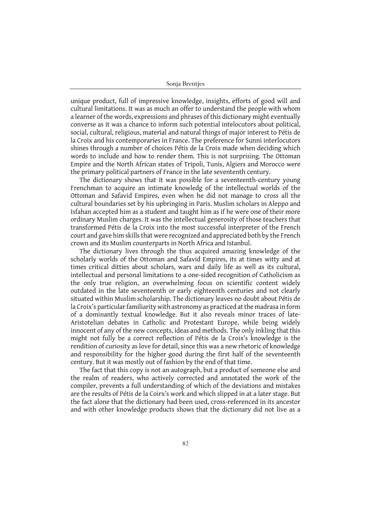unique product, full of impressive knowledge, insights, efforts of good will and cultural limitations. It was as much an offer to understand the people with whom a learner of the words, expressions and phrases of this dictionary might eventually converse as it was a chance to inform such potential intelocutors about political, social, cultural, religious, material and natural things of major interest to Pétis de la Croix and his contemporaries in France. The preference for Sunni interlocutors shines through a number of choices Pétis de la Croix made when deciding which words to include and how to render them. This is not surprising. The Ottoman Empire and the North African states of Tripoli, Tunis, Algiers and Morocco were the primary political partners of France in the late sevententh century.

The dictionary shows that it was possible for a seventeenth-century young Frenchman to acquire an intimate knowledg of the intellectual worlds of the Ottoman and Safavid Empires, even when he did not manage to cross all the cultural boundaries set by his upbringing in Paris. Muslim scholars in Aleppo and Isfahan accepted him as a student and taught him as if he were one of their more ordinary Muslim charges. It was the intellectual generosity of those teachers that transformed Pétis de la Croix into the most successful interpreter of the French court and gave him skills that were recognized and appreciated both by the French crown and its Muslim counterparts in North Africa and Istanbul.

The dictionary lives through the thus acquired amazing knowledge of the scholarly worlds of the Ottoman and Safavid Empires, its at times witty and at times critical ditties about scholars, wars and daily life as well as its cultural, intellectual and personal limitations to a one-sided recognition of Catholicism as the only true religion, an overwhelming focus on scientific content widely outdated in the late seventeenth or early eighteenth centuries and not clearly situated within Muslim scholarship. The dictionary leaves no doubt about Pétis de la Croix's particular familiarity with astronomy as practiced at the madrasa in form of a dominantly textual knowledge. But it also reveals minor traces of late-Aristotelian debates in Catholic and Protestant Europe, while being widely innocent of any of the new concepts, ideas and methods. The only inkling that this might not fully be a correct reflection of Pétis de la Croix's knowledge is the rendition of curiosity as love for detail, since this was a new rhetoric of knowledge and responsibility for the higher good during the first half of the seventeenth century. But it was mostly out of fashion by the end of that time.

The fact that this copy is not an autograph, but a product of someone else and the realm of readers, who actively corrected and annotated the work of the compiler, prevents a full understanding of which of the deviations and mistakes are the results of Pétis de la Coirx's work and which slipped in at a later stage. But the fact alone that the dictionary had been used, cross-referenced in its ancestor and with other knowledge products shows that the dictionary did not live as a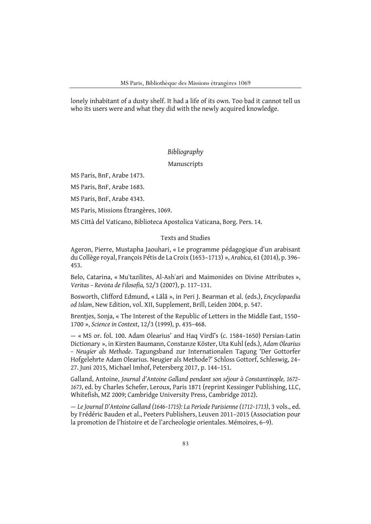lonely inhabitant of a dusty shelf. It had a life of its own. Too bad it cannot tell us who its users were and what they did with the newly acquired knowledge.

## *Bibliography*

Manuscripts

MS Paris, BnF, Arabe 1473.

MS Paris, BnF, Arabe 1683.

MS Paris, BnF, Arabe 4343.

MS Paris, Missions Étrangères, 1069.

MS Città del Vaticano, Biblioteca Apostolica Vaticana, Borg. Pers. 14.

## Texts and Studies

Ageron, Pierre, Mustapha Jaouhari, « Le programme pédagogique d'un arabisant du Collège royal, François Pétis de La Croix (1653–1713) », *Arabica*, 61 (2014), p. 396– 453.

Belo, Catarina, « Muʿtazilites, Al-Ashʿari and Maimonides on Divine Attributes », *Veritas – Revista de Filosofia,* 52/3 (2007), p. 117–131.

Bosworth, Clifford Edmund, « Lālā », in Peri J. Bearman et al. (eds.), *Encyclopaedia od Islam*, New Edition, vol. XII, Supplement, Brill, Leiden 2004, p. 547.

Brentjes, Sonja, « The Interest of the Republic of Letters in the Middle East, 1550– 1700 », *Science in Context*, 12/3 (1999), p. 435–468.

— « MS or. fol. 100. Adam Olearius' and Haq Virdī's (c. 1584–1650) Persian-Latin Dictionary », in Kirsten Baumann, Constanze Köster, Uta Kuhl (eds.), *Adam Olearius – Neugier als Methode*. Tagungsband zur Internationalen Tagung 'Der Gottorfer Hofgelehrte Adam Olearius. Neugier als Methode?' Schloss Gottorf, Schleswig, 24– 27. Juni 2015, Michael Imhof, Petersberg 2017, p. 144–151.

Galland, Antoine, *Journal d'Antoine Galland pendant son séjour à Constantinople, 1672– 1673*, ed. by Charles Schefer, Leroux, Paris 1871 (reprint Kessinger Publishing, LLC, Whitefish, MZ 2009; Cambridge University Press, Cambridge 2012).

— *Le Journal D'Antoine Galland (1646–1715): La Periode Parisienne (1712–1713)*, 3 vols., ed. by Frédéric Bauden et al., Peeters Publishers, Leuven 2011–2015 (Association pour la promotion de l'histoire et de l'archeologie orientales. Mémoires, 6–9).